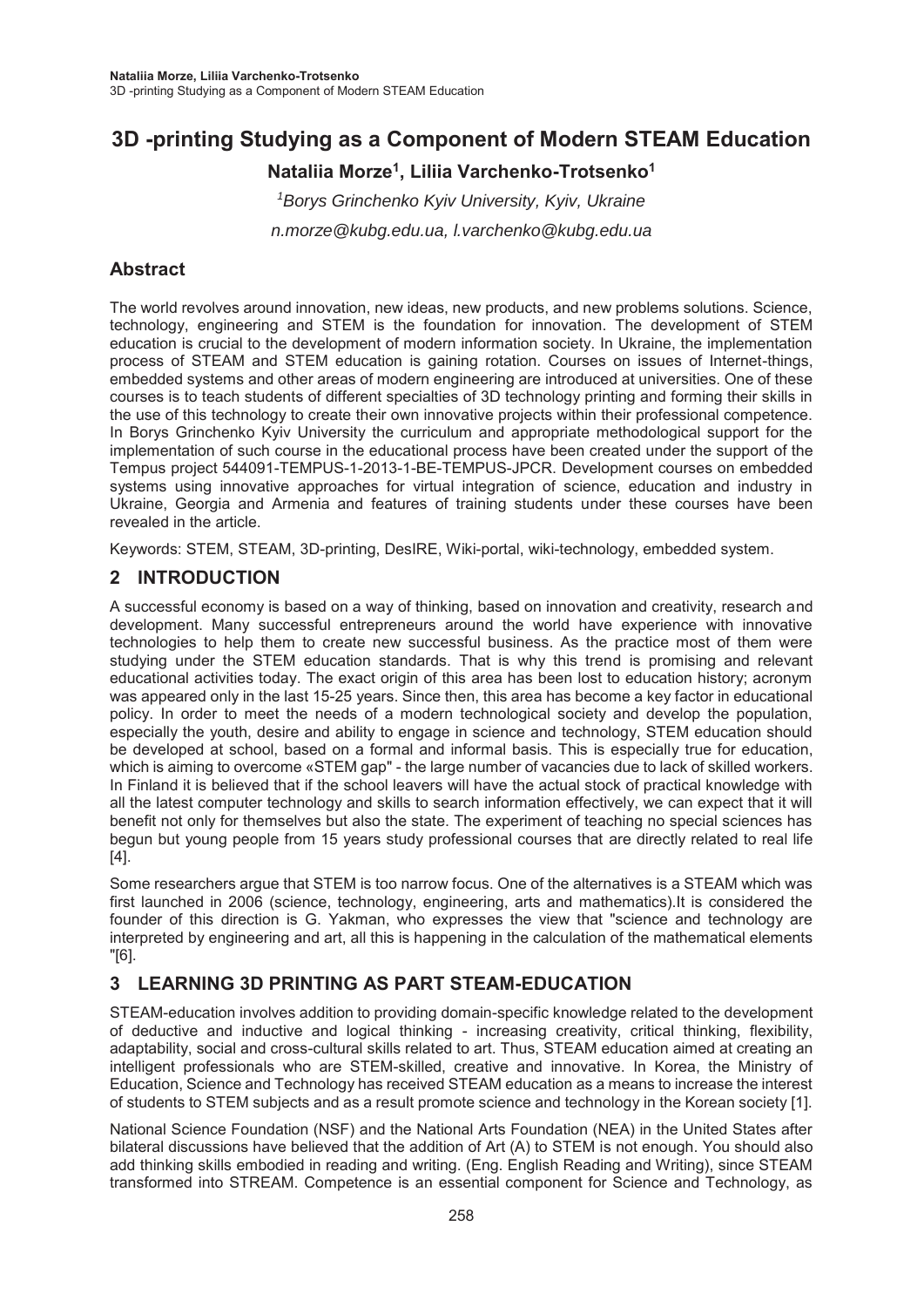# **3D -printing Studying as a Component of Modern STEAM Education**

**Nataliia Morze1, Liliia Varchenko-Trotsenko1** 

*1 Borys Grinchenko Kyiv University, Kyiv, Ukraine n.morze@kubg.edu.ua, l.varchenko@kubg.edu.ua* 

### **Abstract**

The world revolves around innovation, new ideas, new products, and new problems solutions. Science, technology, engineering and STEM is the foundation for innovation. The development of STEM education is crucial to the development of modern information society. In Ukraine, the implementation process of STEAM and STEM education is gaining rotation. Courses on issues of Internet-things, embedded systems and other areas of modern engineering are introduced at universities. One of these courses is to teach students of different specialties of 3D technology printing and forming their skills in the use of this technology to create their own innovative projects within their professional competence. In Borys Grinchenko Kyiv University the curriculum and appropriate methodological support for the implementation of such course in the educational process have been created under the support of the Tempus project 544091-TEMPUS-1-2013-1-BE-TEMPUS-JPCR. Development courses on embedded systems using innovative approaches for virtual integration of science, education and industry in Ukraine, Georgia and Armenia and features of training students under these courses have been revealed in the article.

Keywords: STEM, STEAM, 3D-printing, DesIRE, Wiki-portal, wiki-technology, embedded system.

### **2 INTRODUCTION**

A successful economy is based on a way of thinking, based on innovation and creativity, research and development. Many successful entrepreneurs around the world have experience with innovative technologies to help them to create new successful business. As the practice most of them were studying under the STEM education standards. That is why this trend is promising and relevant educational activities today. The exact origin of this area has been lost to education history; acronym was appeared only in the last 15-25 years. Since then, this area has become a key factor in educational policy. In order to meet the needs of a modern technological society and develop the population, especially the youth, desire and ability to engage in science and technology, STEM education should be developed at school, based on a formal and informal basis. This is especially true for education, which is aiming to overcome «STEM gap" - the large number of vacancies due to lack of skilled workers. In Finland it is believed that if the school leavers will have the actual stock of practical knowledge with all the latest computer technology and skills to search information effectively, we can expect that it will benefit not only for themselves but also the state. The experiment of teaching no special sciences has begun but young people from 15 years study professional courses that are directly related to real life [4].

Some researchers argue that STEM is too narrow focus. One of the alternatives is a STEAM which was first launched in 2006 (science, technology, engineering, arts and mathematics).It is considered the founder of this direction is G. Yakman, who expresses the view that "science and technology are interpreted by engineering and art, all this is happening in the calculation of the mathematical elements "[6].

## **3 LEARNING 3D PRINTING AS PART STEAM-EDUCATION**

STEAM-education involves addition to providing domain-specific knowledge related to the development of deductive and inductive and logical thinking - increasing creativity, critical thinking, flexibility, adaptability, social and cross-cultural skills related to art. Thus, STEAM education aimed at creating an intelligent professionals who are STEM-skilled, creative and innovative. In Korea, the Ministry of Education, Science and Technology has received STEAM education as a means to increase the interest of students to STEM subjects and as a result promote science and technology in the Korean society [1].

National Science Foundation (NSF) and the National Arts Foundation (NEA) in the United States after bilateral discussions have believed that the addition of Art (A) to STEM is not enough. You should also add thinking skills embodied in reading and writing. (Eng. English Reading and Writing), since STEAM transformed into STREAM. Competence is an essential component for Science and Technology, as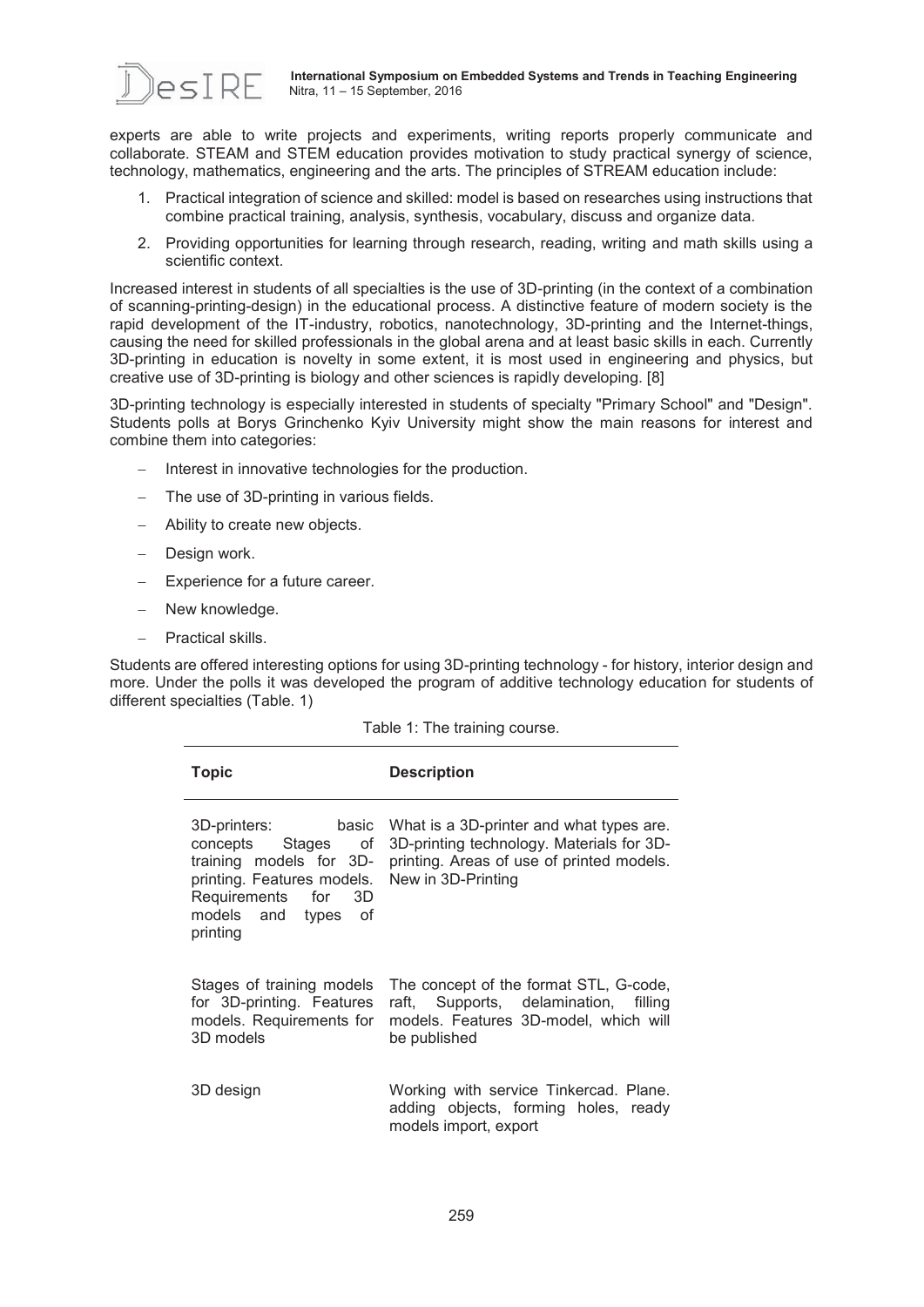

experts are able to write projects and experiments, writing reports properly communicate and collaborate. STEAM and STEM education provides motivation to study practical synergy of science, technology, mathematics, engineering and the arts. The principles of STREAM education include:

- 1. Practical integration of science and skilled: model is based on researches using instructions that combine practical training, analysis, synthesis, vocabulary, discuss and organize data.
- 2. Providing opportunities for learning through research, reading, writing and math skills using a scientific context.

Increased interest in students of all specialties is the use of 3D-printing (in the context of a combination of scanning-printing-design) in the educational process. A distinctive feature of modern society is the rapid development of the IT-industry, robotics, nanotechnology, 3D-printing and the Internet-things, causing the need for skilled professionals in the global arena and at least basic skills in each. Currently 3D-printing in education is novelty in some extent, it is most used in engineering and physics, but creative use of 3D-printing is biology and other sciences is rapidly developing. [8]

3D-printing technology is especially interested in students of specialty "Primary School" and "Design". Students polls at Borys Grinchenko Kyiv University might show the main reasons for interest and combine them into categories:

- Interest in innovative technologies for the production.
- The use of 3D-printing in various fields.
- Ability to create new objects.
- Design work.
- Experience for a future career.
- New knowledge.
- Practical skills.

Students are offered interesting options for using 3D-printing technology - for history, interior design and more. Under the polls it was developed the program of additive technology education for students of different specialties (Table. 1)

| <b>Topic</b>                                                                                                                                                             | <b>Description</b>                                                                                                                                       |
|--------------------------------------------------------------------------------------------------------------------------------------------------------------------------|----------------------------------------------------------------------------------------------------------------------------------------------------------|
| <b>basic</b><br>3D-printers:<br>concepts Stages of<br>training models for 3D-<br>printing. Features models.<br>Requirements for<br>3D<br>models and types of<br>printing | What is a 3D-printer and what types are.<br>3D-printing technology. Materials for 3D-<br>printing. Areas of use of printed models.<br>New in 3D-Printing |
| Stages of training models<br>for 3D-printing. Features<br>models. Requirements for<br>3D models                                                                          | The concept of the format STL, G-code,<br>raft, Supports, delamination,<br>filling<br>models. Features 3D-model, which will<br>be published              |
| 3D design                                                                                                                                                                | Working with service Tinkercad. Plane.<br>adding objects, forming holes, ready<br>models import, export                                                  |

Table 1: The training course.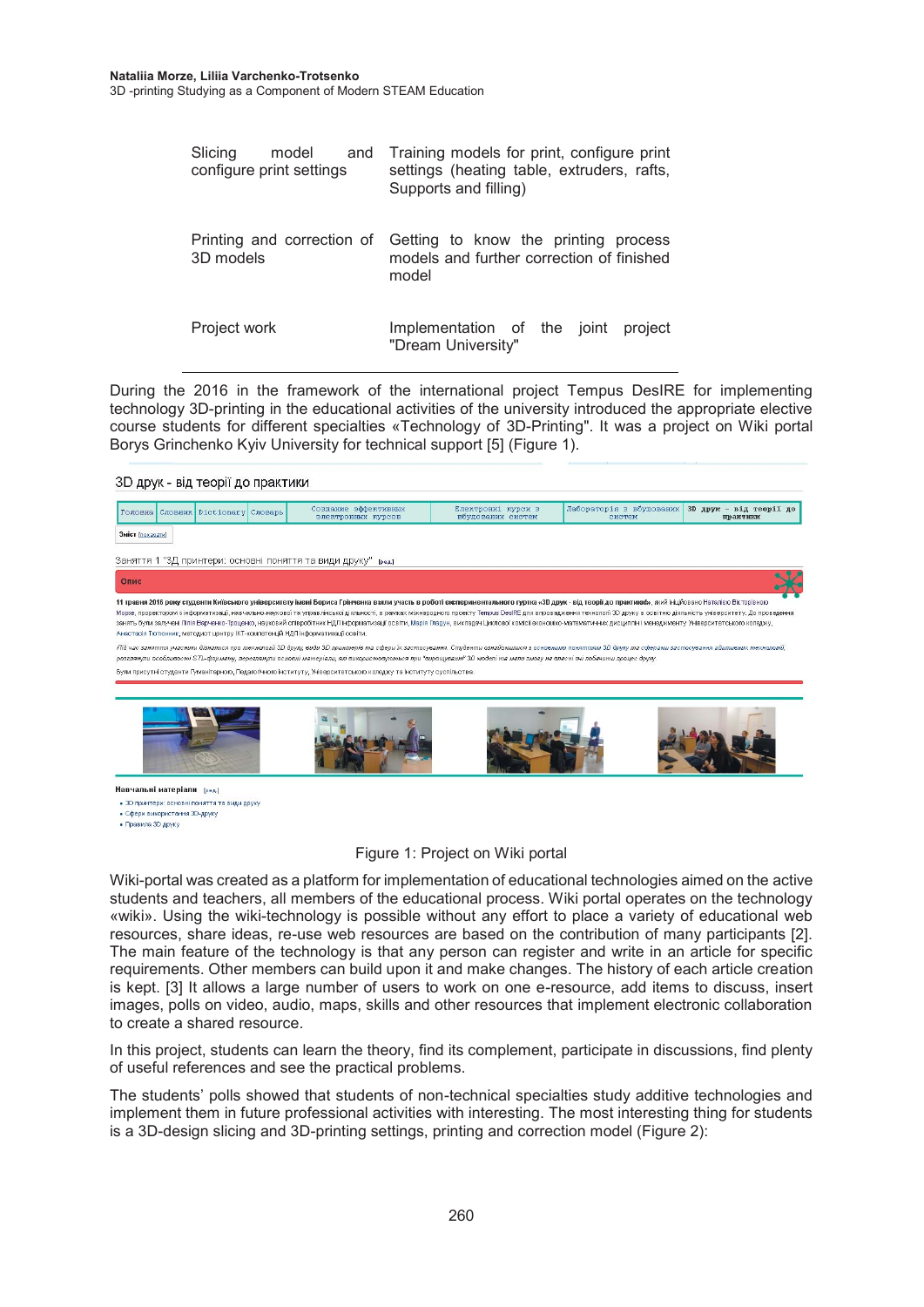| Slicing<br>model<br>and<br>configure print settings | Training models for print, configure print<br>settings (heating table, extruders, rafts,<br>Supports and filling)     |
|-----------------------------------------------------|-----------------------------------------------------------------------------------------------------------------------|
| 3D models                                           | Printing and correction of Getting to know the printing process<br>models and further correction of finished<br>model |
| Project work                                        | Implementation of the joint<br>project<br>"Dream University"                                                          |

During the 2016 in the framework of the international project Tempus DesIRE for implementing technology 3D-printing in the educational activities of the university introduced the appropriate elective course students for different specialties «Technology of 3D-Printing". It was a project on Wiki portal Borys Grinchenko Kyiv University for technical support [5] (Figure 1).

#### 3D друк - від теорії до практики



Навчальні матеріали [ред.] • 3D принтери: основні поняття та види друку • Сфери використання 3D-друку • Правила 3D друку

#### Figure 1: Project on Wiki portal

Wiki-portal was created as a platform for implementation of educational technologies aimed on the active students and teachers, all members of the educational process. Wiki portal operates on the technology «wiki». Using the wiki-technology is possible without any effort to place a variety of educational web resources, share ideas, re-use web resources are based on the contribution of many participants [2]. The main feature of the technology is that any person can register and write in an article for specific requirements. Other members can build upon it and make changes. The history of each article creation is kept. [3] It allows a large number of users to work on one e-resource, add items to discuss, insert images, polls on video, audio, maps, skills and other resources that implement electronic collaboration to create a shared resource.

In this project, students can learn the theory, find its complement, participate in discussions, find plenty of useful references and see the practical problems.

The students' polls showed that students of non-technical specialties study additive technologies and implement them in future professional activities with interesting. The most interesting thing for students is a 3D-design slicing and 3D-printing settings, printing and correction model (Figure 2):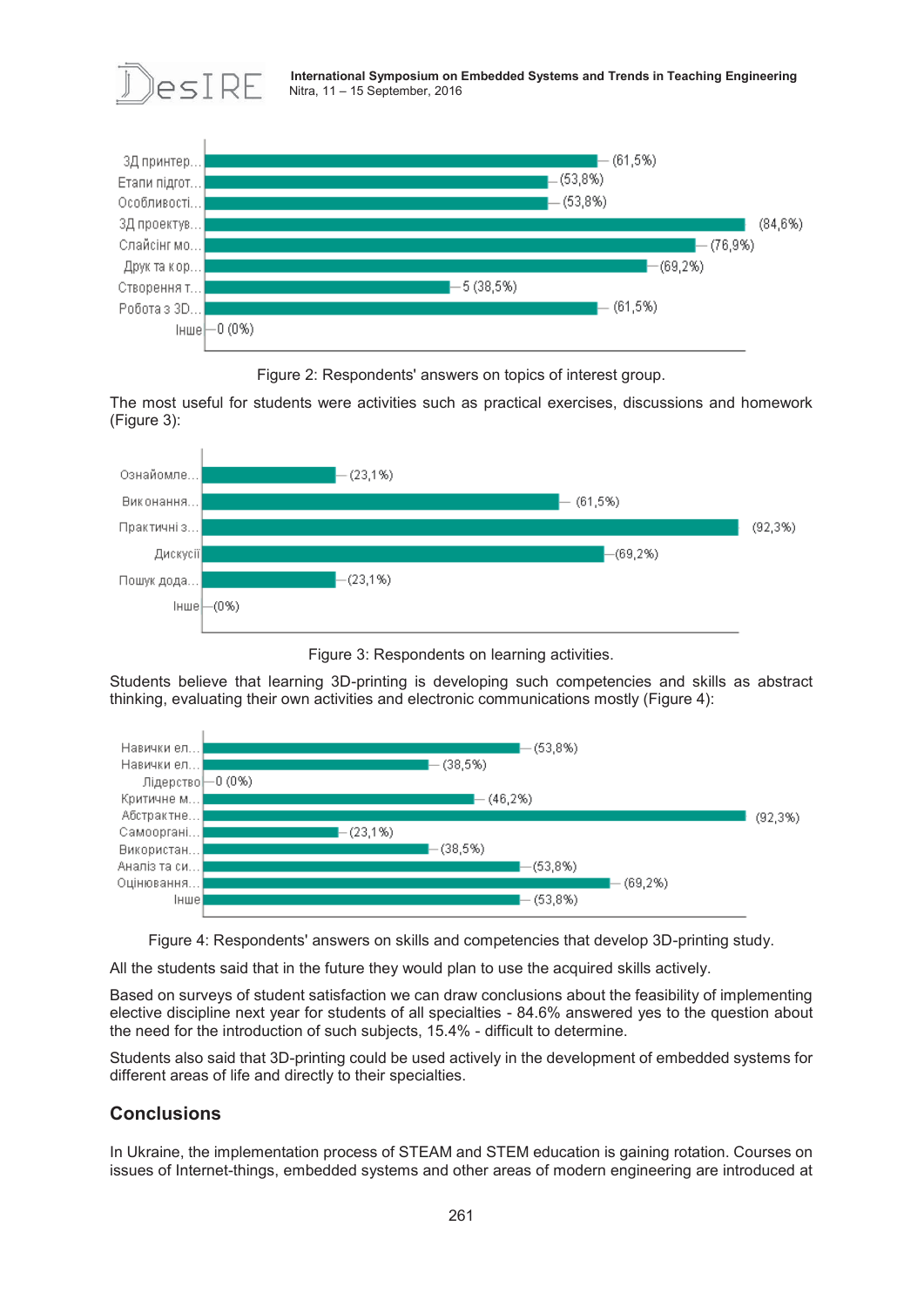

**International Symposium on Embedded Systems and Trends in Teaching Engineering**  $\mathsf{e}_\mathsf{SI}$   $\mathsf{R}\mathsf{E}$  International Symposium on B



Figure 2: Respondents' answers on topics of interest group.

The most useful for students were activities such as practical exercises, discussions and homework (Figure 3):



Figure 3: Respondents on learning activities.

Students believe that learning 3D-printing is developing such competencies and skills as abstract thinking, evaluating their own activities and electronic communications mostly (Figure 4):



Figure 4: Respondents' answers on skills and competencies that develop 3D-printing study.

All the students said that in the future they would plan to use the acquired skills actively.

Based on surveys of student satisfaction we can draw conclusions about the feasibility of implementing elective discipline next year for students of all specialties - 84.6% answered yes to the question about the need for the introduction of such subjects, 15.4% - difficult to determine.

Students also said that 3D-printing could be used actively in the development of embedded systems for different areas of life and directly to their specialties.

## **Conclusions**

In Ukraine, the implementation process of STEAM and STEM education is gaining rotation. Courses on issues of Internet-things, embedded systems and other areas of modern engineering are introduced at